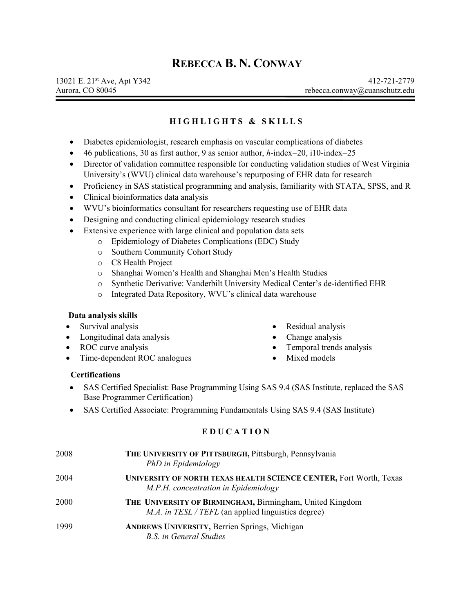# **REBECCA B. N. CONWAY**

# **HIGHLIGHTS & SKILLS**

- Diabetes epidemiologist, research emphasis on vascular complications of diabetes
- 46 publications, 30 as first author, 9 as senior author, *h*-index=20, i10-index=25
- Director of validation committee responsible for conducting validation studies of West Virginia University's (WVU) clinical data warehouse's repurposing of EHR data for research
- Proficiency in SAS statistical programming and analysis, familiarity with STATA, SPSS, and R
- Clinical bioinformatics data analysis
- WVU's bioinformatics consultant for researchers requesting use of EHR data
- Designing and conducting clinical epidemiology research studies
- Extensive experience with large clinical and population data sets
	- o Epidemiology of Diabetes Complications (EDC) Study
		- o Southern Community Cohort Study
		- o C8 Health Project
		- o Shanghai Women's Health and Shanghai Men's Health Studies
		- o Synthetic Derivative: Vanderbilt University Medical Center's de-identified EHR
		- o Integrated Data Repository, WVU's clinical data warehouse

#### **Data analysis skills**

- Survival analysis
- Longitudinal data analysis
- ROC curve analysis
- Time-dependent ROC analogues
- Residual analysis
- Change analysis
- Temporal trends analysis
- Mixed models

### **Certifications**

- SAS Certified Specialist: Base Programming Using SAS 9.4 (SAS Institute, replaced the SAS Base Programmer Certification)
- [SAS Certified Associate: Programming Fundamentals Using SAS 9.4](https://www.sas.com/en_us/certification/credentials/foundation-tools/programming-fundamentals.html) (SAS Institute)

# **EDUCATION**

| 2008 | THE UNIVERSITY OF PITTSBURGH, Pittsburgh, Pennsylvania<br>PhD in Epidemiology                                          |
|------|------------------------------------------------------------------------------------------------------------------------|
| 2004 | UNIVERSITY OF NORTH TEXAS HEALTH SCIENCE CENTER, Fort Worth, Texas<br>M.P.H. concentration in Epidemiology             |
| 2000 | THE UNIVERSITY OF BIRMINGHAM, Birmingham, United Kingdom<br><i>M.A. in TESL / TEFL</i> (an applied linguistics degree) |
| 1999 | <b>ANDREWS UNIVERSITY, Berrien Springs, Michigan</b><br>B.S. in General Studies                                        |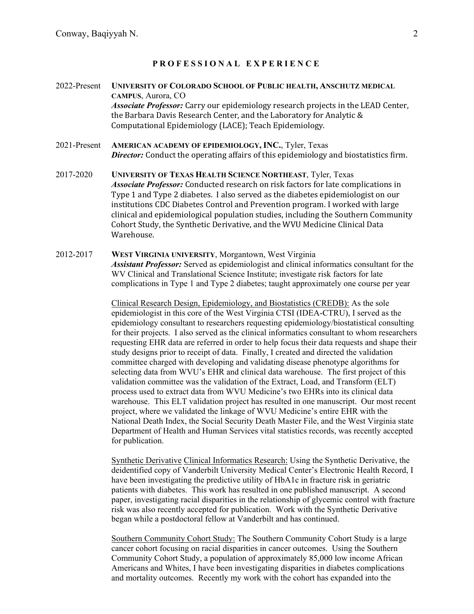### **PROFESS IONAL EXPE R IENCE**

- 2022-Present **UNIVERSITY OF COLORADO SCHOOL OF PUBLIC HEALTH, ANSCHUTZ MEDICAL CAMPUS**, Aurora, CO *Associate Professor:* Carry our epidemiology research projects in the LEAD Center, the Barbara Davis Research Center, and the Laboratory for Analytic & Computational Epidemiology (LACE); Teach Epidemiology.
- 2021-Present **AMERICAN ACADEMY OF EPIDEMIOLOGY, INC.**, Tyler, Texas *Director:* Conduct the operating affairs of this epidemiology and biostatistics firm.
- 2017-2020 **UNIVERSITY OF TEXAS HEALTH SCIENCE NORTHEAST**, Tyler, Texas *Associate Professor:* Conducted research on risk factors for late complications in Type 1 and Type 2 diabetes. I also served as the diabetes epidemiologist on our institutions CDC Diabetes Control and Prevention program. I worked with large clinical and epidemiological population studies, including the Southern Community Cohort Study, the Synthetic Derivative, and the WVU Medicine Clinical Data Warehouse.
- 2012-2017 **WEST VIRGINIA UNIVERSITY**, Morgantown, West Virginia *Assistant Professor:* Served as epidemiologist and clinical informatics consultant for the WV Clinical and Translational Science Institute; investigate risk factors for late complications in Type 1 and Type 2 diabetes; taught approximately one course per year

Clinical Research Design, Epidemiology, and Biostatistics (CREDB): As the sole epidemiologist in this core of the West Virginia CTSI (IDEA-CTRU), I served as the epidemiology consultant to researchers requesting epidemiology/biostatistical consulting for their projects. I also served as the clinical informatics consultant to whom researchers requesting EHR data are referred in order to help focus their data requests and shape their study designs prior to receipt of data. Finally, I created and directed the validation committee charged with developing and validating disease phenotype algorithms for selecting data from WVU's EHR and clinical data warehouse. The first project of this validation committee was the validation of the Extract, Load, and Transform (ELT) process used to extract data from WVU Medicine's two EHRs into its clinical data warehouse. This ELT validation project has resulted in one manuscript. Our most recent project, where we validated the linkage of WVU Medicine's entire EHR with the National Death Index, the Social Security Death Master File, and the West Virginia state Department of Health and Human Services vital statistics records, was recently accepted for publication.

Synthetic Derivative Clinical Informatics Research: Using the Synthetic Derivative, the deidentified copy of Vanderbilt University Medical Center's Electronic Health Record, I have been investigating the predictive utility of HbA1c in fracture risk in geriatric patients with diabetes. This work has resulted in one published manuscript. A second paper, investigating racial disparities in the relationship of glycemic control with fracture risk was also recently accepted for publication. Work with the Synthetic Derivative began while a postdoctoral fellow at Vanderbilt and has continued.

Southern Community Cohort Study: The Southern Community Cohort Study is a large cancer cohort focusing on racial disparities in cancer outcomes. Using the Southern Community Cohort Study, a population of approximately 85,000 low income African Americans and Whites, I have been investigating disparities in diabetes complications and mortality outcomes. Recently my work with the cohort has expanded into the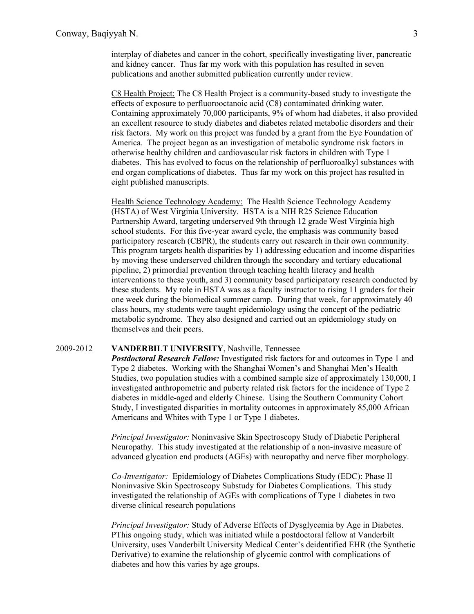interplay of diabetes and cancer in the cohort, specifically investigating liver, pancreatic and kidney cancer. Thus far my work with this population has resulted in seven publications and another submitted publication currently under review.

C8 Health Project: The C8 Health Project is a community-based study to investigate the effects of exposure to perfluorooctanoic acid (C8) contaminated drinking water. Containing approximately 70,000 participants, 9% of whom had diabetes, it also provided an excellent resource to study diabetes and diabetes related metabolic disorders and their risk factors. My work on this project was funded by a grant from the Eye Foundation of America. The project began as an investigation of metabolic syndrome risk factors in otherwise healthy children and cardiovascular risk factors in children with Type 1 diabetes. This has evolved to focus on the relationship of perfluoroalkyl substances with end organ complications of diabetes. Thus far my work on this project has resulted in eight published manuscripts.

Health Science Technology Academy: The Health Science Technology Academy (HSTA) of West Virginia University. HSTA is a NIH R25 Science Education Partnership Award, targeting underserved 9th through 12 grade West Virginia high school students. For this five-year award cycle, the emphasis was community based participatory research (CBPR), the students carry out research in their own community. This program targets health disparities by 1) addressing education and income disparities by moving these underserved children through the secondary and tertiary educational pipeline, 2) primordial prevention through teaching health literacy and health interventions to these youth, and 3) community based participatory research conducted by these students. My role in HSTA was as a faculty instructor to rising 11 graders for their one week during the biomedical summer camp. During that week, for approximately 40 class hours, my students were taught epidemiology using the concept of the pediatric metabolic syndrome. They also designed and carried out an epidemiology study on themselves and their peers.

#### 2009-2012 **VANDERBILT UNIVERSITY**, Nashville, Tennessee

*Postdoctoral Research Fellow:* Investigated risk factors for and outcomes in Type 1 and Type 2 diabetes. Working with the Shanghai Women's and Shanghai Men's Health Studies, two population studies with a combined sample size of approximately 130,000, I investigated anthropometric and puberty related risk factors for the incidence of Type 2 diabetes in middle-aged and elderly Chinese. Using the Southern Community Cohort Study, I investigated disparities in mortality outcomes in approximately 85,000 African Americans and Whites with Type 1 or Type 1 diabetes.

*Principal Investigator:* Noninvasive Skin Spectroscopy Study of Diabetic Peripheral Neuropathy. This study investigated at the relationship of a non-invasive measure of advanced glycation end products (AGEs) with neuropathy and nerve fiber morphology.

*Co-Investigator:* Epidemiology of Diabetes Complications Study (EDC): Phase II Noninvasive Skin Spectroscopy Substudy for Diabetes Complications. This study investigated the relationship of AGEs with complications of Type 1 diabetes in two diverse clinical research populations

*Principal Investigator:* Study of Adverse Effects of Dysglycemia by Age in Diabetes. PThis ongoing study, which was initiated while a postdoctoral fellow at Vanderbilt University, uses Vanderbilt University Medical Center's deidentified EHR (the Synthetic Derivative) to examine the relationship of glycemic control with complications of diabetes and how this varies by age groups.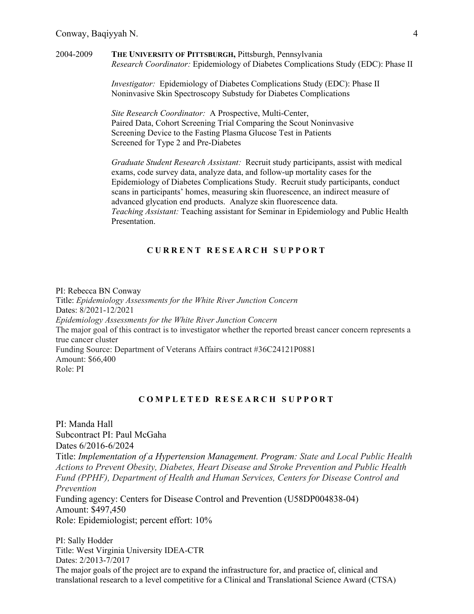#### 2004-2009 **THE UNIVERSITY OF PITTSBURGH,** Pittsburgh, Pennsylvania *Research Coordinator:* Epidemiology of Diabetes Complications Study (EDC): Phase II

*Investigator:* Epidemiology of Diabetes Complications Study (EDC): Phase II Noninvasive Skin Spectroscopy Substudy for Diabetes Complications

*Site Research Coordinator:* A Prospective, Multi-Center, Paired Data, Cohort Screening Trial Comparing the Scout Noninvasive Screening Device to the Fasting Plasma Glucose Test in Patients Screened for Type 2 and Pre-Diabetes

*Graduate Student Research Assistant:* Recruit study participants, assist with medical exams, code survey data, analyze data, and follow-up mortality cases for the Epidemiology of Diabetes Complications Study. Recruit study participants, conduct scans in participants' homes, measuring skin fluorescence, an indirect measure of advanced glycation end products. Analyze skin fluorescence data. *Teaching Assistant:* Teaching assistant for Seminar in Epidemiology and Public Health Presentation.

#### **CURRENT RESEARCH SUPPORT**

PI: Rebecca BN Conway Title: *Epidemiology Assessments for the White River Junction Concern* Dates: 8/2021-12/2021 *Epidemiology Assessments for the White River Junction Concern*  The major goal of this contract is to investigator whether the reported breast cancer concern represents a true cancer cluster Funding Source: Department of Veterans Affairs contract #36C24121P0881 Amount: \$66,400 Role: PI

#### **C O M P LETE D RESEARCH SUPPORT**

PI: Manda Hall Subcontract PI: Paul McGaha Dates 6/2016-6/2024 Title: *Implementation of a Hypertension Management. Program: State and Local Public Health Actions to Prevent Obesity, Diabetes, Heart Disease and Stroke Prevention and Public Health Fund (PPHF), Department of Health and Human Services, Centers for Disease Control and Prevention* Funding agency: Centers for Disease Control and Prevention (U58DP004838-04) Amount: \$497,450 Role: Epidemiologist; percent effort: 10%

PI: Sally Hodder Title: West Virginia University IDEA-CTR Dates: 2/2013-7/2017 The major goals of the project are to expand the infrastructure for, and practice of, clinical and translational research to a level competitive for a Clinical and Translational Science Award (CTSA)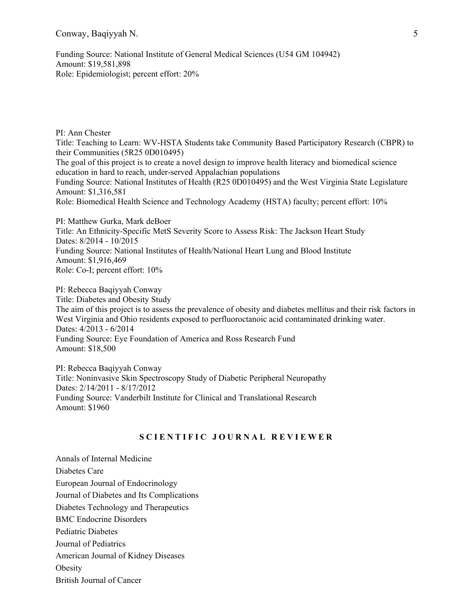Funding Source: National Institute of General Medical Sciences (U54 GM 104942) Amount: \$19,581,898 Role: Epidemiologist; percent effort: 20%

PI: Ann Chester Title: Teaching to Learn: WV-HSTA Students take Community Based Participatory Research (CBPR) to their Communities (5R25 0D010495) The goal of this project is to create a novel design to improve health literacy and biomedical science education in hard to reach, under-served Appalachian populations Funding Source: National Institutes of Health (R25 0D010495) and the West Virginia State Legislature Amount: \$1,316,581 Role: Biomedical Health Science and Technology Academy (HSTA) faculty; percent effort: 10%

PI: Matthew Gurka, Mark deBoer Title: An Ethnicity-Specific MetS Severity Score to Assess Risk: The Jackson Heart Study Dates: 8/2014 - 10/2015 Funding Source: National Institutes of Health/National Heart Lung and Blood Institute Amount: \$1,916,469 Role: Co-I; percent effort: 10%

PI: Rebecca Baqiyyah Conway Title: Diabetes and Obesity Study The aim of this project is to assess the prevalence of obesity and diabetes mellitus and their risk factors in West Virginia and Ohio residents exposed to perfluoroctanoic acid contaminated drinking water. Dates: 4/2013 - 6/2014 Funding Source: Eye Foundation of America and Ross Research Fund Amount: \$18,500

PI: Rebecca Baqiyyah Conway Title: Noninvasive Skin Spectroscopy Study of Diabetic Peripheral Neuropathy Dates: 2/14/2011 - 8/17/2012 Funding Source: Vanderbilt Institute for Clinical and Translational Research Amount: \$1960

### **SCIENTIF IC JOURNAL REVIEW E R**

Annals of Internal Medicine Diabetes Care European Journal of Endocrinology Journal of Diabetes and Its Complications Diabetes Technology and Therapeutics BMC Endocrine Disorders Pediatric Diabetes Journal of Pediatrics American Journal of Kidney Diseases **Obesity** British Journal of Cancer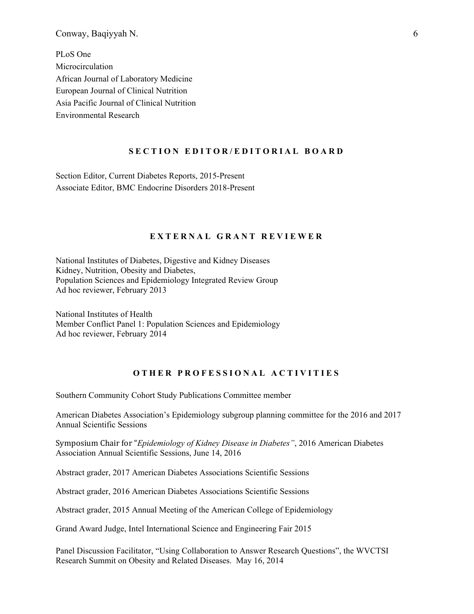PLoS One Microcirculation African Journal of Laboratory Medicine European Journal of Clinical Nutrition Asia Pacific Journal of Clinical Nutrition Environmental Research

#### **SECTI ON EDITOR/EDITORIAL BOAR D**

Section Editor, Current Diabetes Reports, 2015-Present Associate Editor, BMC Endocrine Disorders 2018-Present

### **EXTERNAL GRANT REVIEWER**

National Institutes of Diabetes, Digestive and Kidney Diseases [Kidney, Nutrition, Obesity and Diabetes,](http://cms.csr.nih.gov/PeerReviewMeetings/CSRIRGDescriptionNew/PSEIRG/KNOD.htm)  Population Sciences and Epidemiology Integrated Review Group Ad hoc reviewer, February 2013

National Institutes of Health Member Conflict Panel 1: Population Sciences and Epidemiology Ad hoc reviewer, February 2014

### **OTHER PROFESSIONAL ACTIVITIES**

Southern Community Cohort Study Publications Committee member

American Diabetes Association's Epidemiology subgroup planning committee for the 2016 and 2017 Annual Scientific Sessions

Symposium Chair for "*Epidemiology of Kidney Disease in Diabetes"*, 2016 American Diabetes Association Annual Scientific Sessions, June 14, 2016

Abstract grader, 2017 American Diabetes Associations Scientific Sessions

Abstract grader, 2016 American Diabetes Associations Scientific Sessions

Abstract grader, 2015 Annual Meeting of the American College of Epidemiology

Grand Award Judge, Intel International Science and Engineering Fair 2015

Panel Discussion Facilitator, "Using Collaboration to Answer Research Questions", the WVCTSI Research Summit on Obesity and Related Diseases. May 16, 2014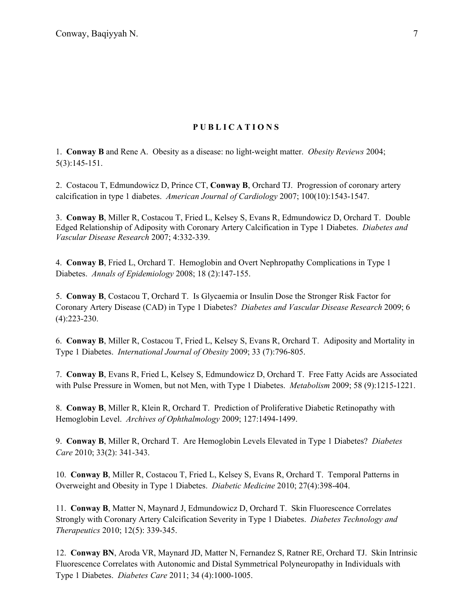### **PUBLICATIONS**

1. **Conway B** and Rene A. Obesity as a disease: no light-weight matter. *Obesity Reviews* 2004; 5(3):145-151.

2. Costacou T, Edmundowicz D, Prince CT, **Conway B**, Orchard TJ. Progression of coronary artery calcification in type 1 diabetes. *American Journal of Cardiology* 2007; 100(10):1543-1547.

3. **Conway B**, Miller R, Costacou T, Fried L, Kelsey S, Evans R, Edmundowicz D, Orchard T. Double Edged Relationship of Adiposity with Coronary Artery Calcification in Type 1 Diabetes. *Diabetes and Vascular Disease Research* 2007; 4:332-339.

4. **Conway B**, Fried L, Orchard T. Hemoglobin and Overt Nephropathy Complications in Type 1 Diabetes. *Annals of Epidemiology* 2008; 18 (2):147-155.

5. **Conway B**, Costacou T, Orchard T. Is Glycaemia or Insulin Dose the Stronger Risk Factor for Coronary Artery Disease (CAD) in Type 1 Diabetes? *Diabetes and Vascular Disease Research* 2009; 6 (4):223-230.

6. **Conway B**, Miller R, Costacou T, Fried L, Kelsey S, Evans R, Orchard T. Adiposity and Mortality in Type 1 Diabetes. *International Journal of Obesity* 2009; 33 (7):796-805.

7. **Conway B**, Evans R, Fried L, Kelsey S, Edmundowicz D, Orchard T. Free Fatty Acids are Associated with Pulse Pressure in Women, but not Men, with Type 1 Diabetes. *Metabolism* 2009; 58 (9):1215-1221.

8. **Conway B**, Miller R, Klein R, Orchard T. Prediction of Proliferative Diabetic Retinopathy with Hemoglobin Level. *Archives of Ophthalmology* 2009; 127:1494-1499.

9. **Conway B**, Miller R, Orchard T. Are Hemoglobin Levels Elevated in Type 1 Diabetes? *Diabetes Care* 2010; 33(2): 341-343.

10. **Conway B**, Miller R, Costacou T, Fried L, Kelsey S, Evans R, Orchard T. Temporal Patterns in Overweight and Obesity in Type 1 Diabetes. *Diabetic Medicine* 2010; 27(4):398-404.

11. **Conway B**, Matter N, Maynard J, Edmundowicz D, Orchard T. Skin Fluorescence Correlates Strongly with Coronary Artery Calcification Severity in Type 1 Diabetes. *Diabetes Technology and Therapeutics* 2010; 12(5): 339-345.

12. **Conway BN**, Aroda VR, Maynard JD, Matter N, Fernandez S, Ratner RE, Orchard TJ. Skin Intrinsic Fluorescence Correlates with Autonomic and Distal Symmetrical Polyneuropathy in Individuals with Type 1 Diabetes. *Diabetes Care* 2011; 34 (4):1000-1005.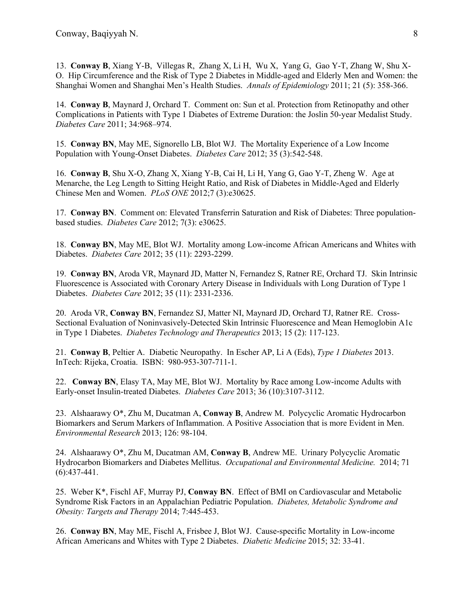13. **Conway B**, Xiang Y-B, Villegas R, Zhang X, Li H, Wu X, Yang G, Gao Y-T, Zhang W, Shu X-O. Hip Circumference and the Risk of Type 2 Diabetes in Middle-aged and Elderly Men and Women: the Shanghai Women and Shanghai Men's Health Studies. *Annals of Epidemiology* 2011; 21 (5): 358-366.

14. **Conway B**, Maynard J, Orchard T. Comment on: Sun et al. Protection from Retinopathy and other Complications in Patients with Type 1 Diabetes of Extreme Duration: the Joslin 50-year Medalist Study. *Diabetes Care* 2011; 34:968–974.

15. **Conway BN**, May ME, Signorello LB, Blot WJ. The Mortality Experience of a Low Income Population with Young-Onset Diabetes. *Diabetes Care* 2012; 35 (3):542-548.

16. **Conway B**, Shu X-O, Zhang X, Xiang Y-B, Cai H, Li H, Yang G, Gao Y-T, Zheng W. Age at Menarche, the Leg Length to Sitting Height Ratio, and Risk of Diabetes in Middle-Aged and Elderly Chinese Men and Women. *PLoS ONE* 2012;7 (3):e30625.

17. **Conway BN**. Comment on: Elevated Transferrin Saturation and Risk of Diabetes: Three populationbased studies. *Diabetes Care* 2012; 7(3): e30625.

18. **Conway BN**, May ME, Blot WJ. Mortality among Low-income African Americans and Whites with Diabetes. *Diabetes Care* 2012; 35 (11): 2293-2299.

19. **Conway BN**, Aroda VR, Maynard JD, Matter N, Fernandez S, Ratner RE, Orchard TJ. Skin Intrinsic Fluorescence is Associated with Coronary Artery Disease in Individuals with Long Duration of Type 1 Diabetes. *Diabetes Care* 2012; 35 (11): 2331-2336.

20. Aroda VR, **Conway BN**, Fernandez SJ, Matter NI, Maynard JD, Orchard TJ, Ratner RE. Cross-Sectional Evaluation of Noninvasively-Detected Skin Intrinsic Fluorescence and Mean Hemoglobin A1c in Type 1 Diabetes. *Diabetes Technology and Therapeutics* 2013; 15 (2): 117-123.

21. **Conway B**, Peltier A. Diabetic Neuropathy. In Escher AP, Li A (Eds), *Type 1 Diabetes* 2013. InTech: Rijeka, Croatia. ISBN: 980-953-307-711-1.

22. **Conway BN**, Elasy TA, May ME, Blot WJ. Mortality by Race among Low-income Adults with Early-onset Insulin-treated Diabetes. *Diabetes Care* 2013; 36 (10):3107-3112.

23. Alshaarawy O\*, Zhu M, Ducatman A, **Conway B**, Andrew M. Polycyclic Aromatic Hydrocarbon Biomarkers and Serum Markers of Inflammation. A Positive Association that is more Evident in Men. *Environmental Research* 2013; 126: 98-104.

24. Alshaarawy O\*, Zhu M, Ducatman AM, **Conway B**, Andrew ME. Urinary Polycyclic Aromatic Hydrocarbon Biomarkers and Diabetes Mellitus. *Occupational and Environmental Medicine.* 2014; 71 (6):437-441.

25. Weber K\*, Fischl AF, Murray PJ, **Conway BN**. Effect of BMI on Cardiovascular and Metabolic Syndrome Risk Factors in an Appalachian Pediatric Population. *Diabetes, Metabolic Syndrome and Obesity: Targets and Therapy* 2014; 7:445-453.

26. **Conway BN**, May ME, Fischl A, Frisbee J, Blot WJ. Cause-specific Mortality in Low-income African Americans and Whites with Type 2 Diabetes. *Diabetic Medicine* 2015; 32: 33-41.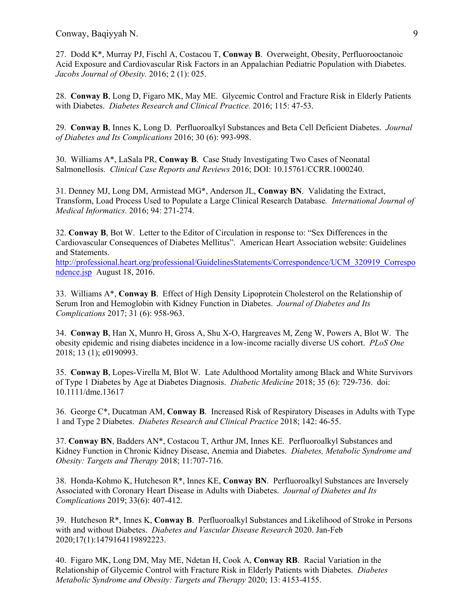27. Dodd K\*, Murray PJ, Fischl A, Costacou T, **Conway B**. Overweight, Obesity, Perfluorooctanoic Acid Exposure and Cardiovascular Risk Factors in an Appalachian Pediatric Population with Diabetes. *Jacobs Journal of Obesity.* 2016; 2 (1): 025.

28. **Conway B**, Long D, Figaro MK, May ME. Glycemic Control and Fracture Risk in Elderly Patients with Diabetes. *Diabetes Research and Clinical Practice.* 2016; 115: 47-53.

29. **Conway B**, Innes K, Long D. Perfluoroalkyl Substances and Beta Cell Deficient Diabetes. *Journal of Diabetes and Its Complications* 2016; 30 (6): 993-998.

30. Williams A\*, LaSala PR, **Conway B**. Case Study Investigating Two Cases of Neonatal Salmonellosis. *Clinical Case Reports and Reviews* 2016; DOI: 10.15761/CCRR.1000240.

31. Denney MJ, Long DM, Armistead MG\*, Anderson JL, **Conway BN**. Validating the Extract, Transform, Load Process Used to Populate a Large Clinical Research Database*. International Journal of Medical Informatics.* 2016; 94: 271-274.

32. **Conway B**, Bot W. Letter to the Editor of Circulation in response to: "Sex Differences in the Cardiovascular Consequences of Diabetes Mellitus". American Heart Association website: Guidelines and Statements.

[http://professional.heart.org/professional/GuidelinesStatements/Correspondence/UCM\\_320919\\_Correspo](http://professional.heart.org/professional/GuidelinesStatements/Correspondence/UCM_320919_Correspondence.jsp) [ndence.jsp](http://professional.heart.org/professional/GuidelinesStatements/Correspondence/UCM_320919_Correspondence.jsp) August 18, 2016.

33. Williams A\*, **Conway B**. Effect of High Density Lipoprotein Cholesterol on the Relationship of Serum Iron and Hemoglobin with Kidney Function in Diabetes. *Journal of Diabetes and Its Complications* 2017; 31 (6): 958-963.

34. **Conway B**, Han X, Munro H, Gross A, Shu X-O, Hargreaves M, Zeng W, Powers A, Blot W. The obesity epidemic and rising diabetes incidence in a low-income racially diverse US cohort. *PLoS One* 2018; 13 (1); e0190993.

35. **Conway B**, Lopes-Virella M, Blot W. Late Adulthood Mortality among Black and White Survivors of Type 1 Diabetes by Age at Diabetes Diagnosis. *Diabetic Medicine* 2018; 35 (6): 729-736. doi: 10.1111/dme.13617

36. George C\*, Ducatman AM, **Conway B**. Increased Risk of Respiratory Diseases in Adults with Type 1 and Type 2 Diabetes. *Diabetes Research and Clinical Practice* 2018; 142: 46-55.

37. **Conway BN**, Badders AN\*, Costacou T, Arthur JM, Innes KE. Perfluoroalkyl Substances and Kidney Function in Chronic Kidney Disease, Anemia and Diabetes. *Diabetes, Metabolic Syndrome and Obesity: Targets and Therapy* 2018; 11:707-716.

38. Honda-Kohmo K, Hutcheson R\*, Innes KE, **Conway BN**. Perfluoroalkyl Substances are Inversely Associated with Coronary Heart Disease in Adults with Diabetes. *Journal of Diabetes and Its Complications* 2019; 33(6): 407-412.

39. Hutcheson R\*, Innes K, **Conway B**. Perfluoroalkyl Substances and Likelihood of Stroke in Persons with and without Diabetes. *Diabetes and Vascular Disease Research* 2020. Jan-Feb 2020;17(1):1479164119892223.

40. Figaro MK, Long DM, May ME, Ndetan H, Cook A, **Conway RB**. Racial Variation in the Relationship of Glycemic Control with Fracture Risk in Elderly Patients with Diabetes. *Diabetes Metabolic Syndrome and Obesity: Targets and Therapy* 2020; 13: 4153-4155.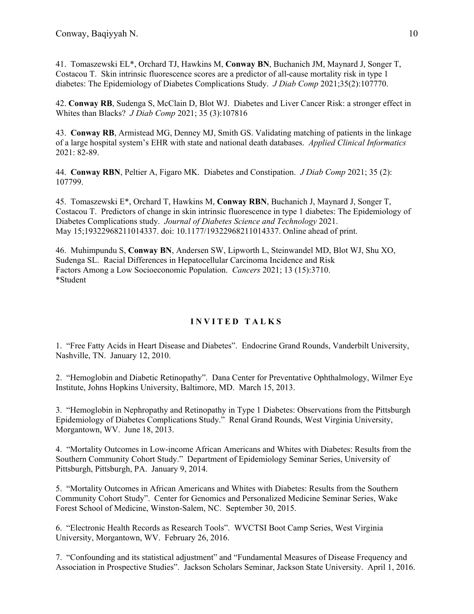41. Tomaszewski EL\*, Orchard TJ, Hawkins M, **Conway BN**, Buchanich JM, Maynard J, Songer T, Costacou T. Skin intrinsic fluorescence scores are a predictor of all-cause mortality risk in type 1 diabetes: The Epidemiology of Diabetes Complications Study. *J Diab Comp* 2021;35(2):107770.

42. **Conway RB**, Sudenga S, McClain D, Blot WJ. Diabetes and Liver Cancer Risk: a stronger effect in Whites than Blacks? *J Diab Comp* 2021; 35 (3):107816

43. **Conway RB**, Armistead MG, Denney MJ, Smith GS. Validating matching of patients in the linkage of a large hospital system's EHR with state and national death databases. *Applied Clinical Informatics* 2021: 82-89.

44. **Conway RBN**, Peltier A, Figaro MK. Diabetes and Constipation. *J Diab Comp* 2021; 35 (2): 107799.

45. Tomaszewski E\*, Orchard T, Hawkins M, **Conway RBN**, Buchanich J, Maynard J, Songer T, Costacou T. Predictors of change in skin intrinsic fluorescence in type 1 diabetes: The Epidemiology of Diabetes Complications study. *Journal of Diabetes Science and Technology* 2021. May 15;19322968211014337. doi: 10.1177/19322968211014337. Online ahead of print.

46. Muhimpundu S, **Conway BN**, Andersen SW, Lipworth L, Steinwandel MD, Blot WJ, Shu XO, Sudenga SL. Racial Differences in Hepatocellular Carcinoma Incidence and Risk Factors Among a Low Socioeconomic Population. *Cancers* 2021; 13 (15):3710. \*Student

# **INVITE D TALKS**

1. "Free Fatty Acids in Heart Disease and Diabetes". Endocrine Grand Rounds, Vanderbilt University, Nashville, TN. January 12, 2010.

2. "Hemoglobin and Diabetic Retinopathy". Dana Center for Preventative Ophthalmology, Wilmer Eye Institute, Johns Hopkins University, Baltimore, MD. March 15, 2013.

3. "Hemoglobin in Nephropathy and Retinopathy in Type 1 Diabetes: Observations from the Pittsburgh Epidemiology of Diabetes Complications Study." Renal Grand Rounds, West Virginia University, Morgantown, WV. June 18, 2013.

4. "Mortality Outcomes in Low-income African Americans and Whites with Diabetes: Results from the Southern Community Cohort Study." Department of Epidemiology Seminar Series, University of Pittsburgh, Pittsburgh, PA. January 9, 2014.

5. "Mortality Outcomes in African Americans and Whites with Diabetes: Results from the Southern Community Cohort Study". Center for Genomics and Personalized Medicine Seminar Series, Wake Forest School of Medicine, Winston-Salem, NC. September 30, 2015.

6. "Electronic Health Records as Research Tools". WVCTSI Boot Camp Series, West Virginia University, Morgantown, WV. February 26, 2016.

7. "Confounding and its statistical adjustment" and "Fundamental Measures of Disease Frequency and Association in Prospective Studies". Jackson Scholars Seminar, Jackson State University. April 1, 2016.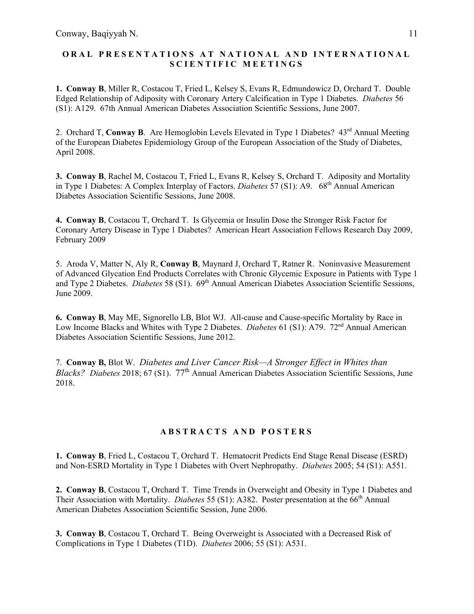# **ORAL PRESENTA TIONS A T NATIONAL AND I NTERNATIONAL SCIEN TIFIC MEETINGS**

**1. Conway B**, Miller R, Costacou T, Fried L, Kelsey S, Evans R, Edmundowicz D, Orchard T. Double Edged Relationship of Adiposity with Coronary Artery Calcification in Type 1 Diabetes. *Diabetes* 56 (S1): A129. 67th Annual American Diabetes Association Scientific Sessions, June 2007.

2. Orchard T, Conway B. Are Hemoglobin Levels Elevated in Type 1 Diabetes? 43<sup>rd</sup> Annual Meeting of the European Diabetes Epidemiology Group of the European Association of the Study of Diabetes, April 2008.

**3. Conway B**, Rachel M, Costacou T, Fried L, Evans R, Kelsey S, Orchard T. Adiposity and Mortality in Type 1 Diabetes: A Complex Interplay of Factors. *Diabetes* 57 (S1): A9. 68<sup>th</sup> Annual American Diabetes Association Scientific Sessions, June 2008.

**4. Conway B**, Costacou T, Orchard T. Is Glycemia or Insulin Dose the Stronger Risk Factor for Coronary Artery Disease in Type 1 Diabetes? American Heart Association Fellows Research Day 2009, February 2009

5. Aroda V, Matter N, Aly R, **Conway B**, Maynard J, Orchard T, Ratner R. Noninvasive Measurement of Advanced Glycation End Products Correlates with Chronic Glycemic Exposure in Patients with Type 1 and Type 2 Diabetes. *Diabetes* 58 (S1). 69<sup>th</sup> Annual American Diabetes Association Scientific Sessions, June 2009.

**6. Conway B**, May ME, Signorello LB, Blot WJ. All-cause and Cause-specific Mortality by Race in Low Income Blacks and Whites with Type 2 Diabetes. *Diabetes* 61 (S1): A79. 72<sup>nd</sup> Annual American Diabetes Association Scientific Sessions, June 2012.

7. **Conway B,** Blot W. *Diabetes and Liver Cancer Risk—A Stronger Effect in Whites than Blacks? Diabetes* 2018; 67 (S1). 77th Annual American Diabetes Association Scientific Sessions, June 2018.

### **ABSTRACTS AND P OSTE R S**

**1. Conway B**, Fried L, Costacou T, Orchard T. Hematocrit Predicts End Stage Renal Disease (ESRD) and Non-ESRD Mortality in Type 1 Diabetes with Overt Nephropathy. *Diabetes* 2005; 54 (S1): A551.

**2. Conway B**, Costacou T, Orchard T. Time Trends in Overweight and Obesity in Type 1 Diabetes and Their Association with Mortality. *Diabetes* 55 (S1): A382. Poster presentation at the 66<sup>th</sup> Annual American Diabetes Association Scientific Session, June 2006.

**3. Conway B**, Costacou T, Orchard T. Being Overweight is Associated with a Decreased Risk of Complications in Type 1 Diabetes (T1D). *Diabetes* 2006; 55 (S1): A531.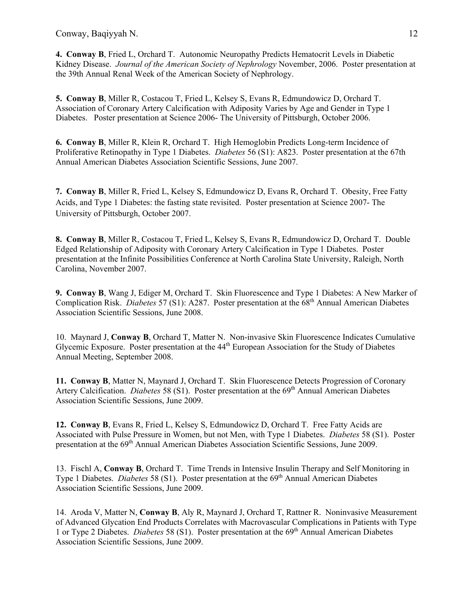**4. Conway B**, Fried L, Orchard T. Autonomic Neuropathy Predicts Hematocrit Levels in Diabetic Kidney Disease. *Journal of the American Society of Nephrology* November, 2006. Poster presentation at the 39th Annual Renal Week of the American Society of Nephrology.

**5. Conway B**, Miller R, Costacou T, Fried L, Kelsey S, Evans R, Edmundowicz D, Orchard T. Association of Coronary Artery Calcification with Adiposity Varies by Age and Gender in Type 1 Diabetes. Poster presentation at Science 2006- The University of Pittsburgh, October 2006.

**6. Conway B**, Miller R, Klein R, Orchard T. High Hemoglobin Predicts Long-term Incidence of Proliferative Retinopathy in Type 1 Diabetes. *Diabetes* 56 (S1): A823. Poster presentation at the 67th Annual American Diabetes Association Scientific Sessions, June 2007.

**7. Conway B**, Miller R, Fried L, Kelsey S, Edmundowicz D, Evans R, Orchard T. Obesity, Free Fatty Acids, and Type 1 Diabetes: the fasting state revisited. Poster presentation at Science 2007- The University of Pittsburgh, October 2007.

**8. Conway B**, Miller R, Costacou T, Fried L, Kelsey S, Evans R, Edmundowicz D, Orchard T. Double Edged Relationship of Adiposity with Coronary Artery Calcification in Type 1 Diabetes. Poster presentation at the Infinite Possibilities Conference at North Carolina State University, Raleigh, North Carolina, November 2007.

**9. Conway B**, Wang J, Ediger M, Orchard T. Skin Fluorescence and Type 1 Diabetes: A New Marker of Complication Risk. *Diabetes* 57 (S1): A287. Poster presentation at the 68th Annual American Diabetes Association Scientific Sessions, June 2008.

10. Maynard J, **Conway B**, Orchard T, Matter N. Non-invasive Skin Fluorescence Indicates Cumulative Glycemic Exposure. Poster presentation at the  $44<sup>th</sup>$  European Association for the Study of Diabetes Annual Meeting, September 2008.

**11. Conway B**, Matter N, Maynard J, Orchard T. Skin Fluorescence Detects Progression of Coronary Artery Calcification. *Diabetes* 58 (S1). Poster presentation at the 69<sup>th</sup> Annual American Diabetes Association Scientific Sessions, June 2009.

**12. Conway B**, Evans R, Fried L, Kelsey S, Edmundowicz D, Orchard T. Free Fatty Acids are Associated with Pulse Pressure in Women, but not Men, with Type 1 Diabetes. *Diabetes* 58 (S1). Poster presentation at the 69<sup>th</sup> Annual American Diabetes Association Scientific Sessions, June 2009.

13. Fischl A, **Conway B**, Orchard T. Time Trends in Intensive Insulin Therapy and Self Monitoring in Type 1 Diabetes. *Diabetes* 58 (S1). Poster presentation at the 69<sup>th</sup> Annual American Diabetes Association Scientific Sessions, June 2009.

14. Aroda V, Matter N, **Conway B**, Aly R, Maynard J, Orchard T, Rattner R. Noninvasive Measurement of Advanced Glycation End Products Correlates with Macrovascular Complications in Patients with Type 1 or Type 2 Diabetes. *Diabetes* 58 (S1). Poster presentation at the 69th Annual American Diabetes Association Scientific Sessions, June 2009.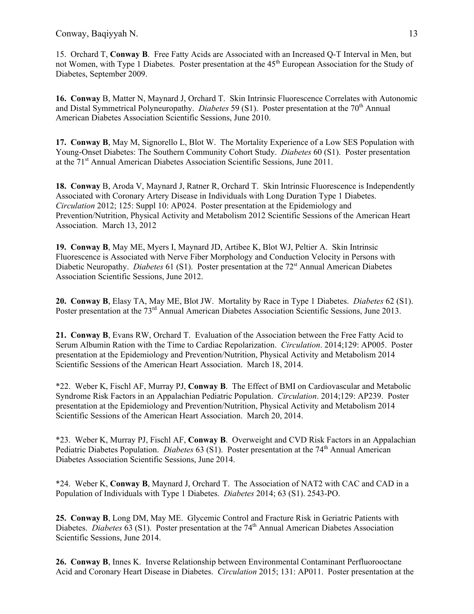15. Orchard T, **Conway B**. Free Fatty Acids are Associated with an Increased Q-T Interval in Men, but not Women, with Type 1 Diabetes. Poster presentation at the 45<sup>th</sup> European Association for the Study of Diabetes, September 2009.

**16. Conway** B, Matter N, Maynard J, Orchard T. Skin Intrinsic Fluorescence Correlates with Autonomic and Distal Symmetrical Polyneuropathy. *Diabetes* 59 (S1). Poster presentation at the 70<sup>th</sup> Annual American Diabetes Association Scientific Sessions, June 2010.

**17. Conway B**, May M, Signorello L, Blot W. The Mortality Experience of a Low SES Population with Young-Onset Diabetes: The Southern Community Cohort Study. *Diabetes* 60 (S1). Poster presentation at the 71<sup>st</sup> Annual American Diabetes Association Scientific Sessions, June 2011.

**18. Conway** B, Aroda V, Maynard J, Ratner R, Orchard T. Skin Intrinsic Fluorescence is Independently Associated with Coronary Artery Disease in Individuals with Long Duration Type 1 Diabetes. *Circulation* 2012; 125: Suppl 10: AP024. Poster presentation at the Epidemiology and Prevention/Nutrition, Physical Activity and Metabolism 2012 Scientific Sessions of the American Heart Association. March 13, 2012

**19. Conway B**, May ME, Myers I, Maynard JD, Artibee K, Blot WJ, Peltier A. Skin Intrinsic Fluorescence is Associated with Nerve Fiber Morphology and Conduction Velocity in Persons with Diabetic Neuropathy. *Diabetes* 61 (S1). Poster presentation at the 72<sup>st</sup> Annual American Diabetes Association Scientific Sessions, June 2012.

**20. Conway B**, Elasy TA, May ME, Blot JW. Mortality by Race in Type 1 Diabetes. *Diabetes* 62 (S1). Poster presentation at the 73<sup>rd</sup> Annual American Diabetes Association Scientific Sessions, June 2013.

**21. Conway B**, Evans RW, Orchard T. Evaluation of the Association between the Free Fatty Acid to Serum Albumin Ration with the Time to Cardiac Repolarization. *Circulation*. 2014;129: AP005. Poster presentation at the Epidemiology and Prevention/Nutrition, Physical Activity and Metabolism 2014 Scientific Sessions of the American Heart Association. March 18, 2014.

\*22. Weber K, Fischl AF, Murray PJ, **Conway B**. The Effect of BMI on Cardiovascular and Metabolic Syndrome Risk Factors in an Appalachian Pediatric Population. *Circulation*. 2014;129: AP239. Poster presentation at the Epidemiology and Prevention/Nutrition, Physical Activity and Metabolism 2014 Scientific Sessions of the American Heart Association. March 20, 2014.

\*23. Weber K, Murray PJ, Fischl AF, **Conway B**. Overweight and CVD Risk Factors in an Appalachian Pediatric Diabetes Population. *Diabetes* 63 (S1). Poster presentation at the 74<sup>th</sup> Annual American Diabetes Association Scientific Sessions, June 2014.

\*24. Weber K, **Conway B**, Maynard J, Orchard T. The Association of NAT2 with CAC and CAD in a Population of Individuals with Type 1 Diabetes. *Diabetes* 2014; 63 (S1). 2543-PO.

**25. Conway B**, Long DM, May ME. Glycemic Control and Fracture Risk in Geriatric Patients with Diabetes. *Diabetes* 63 (S1). Poster presentation at the 74<sup>th</sup> Annual American Diabetes Association Scientific Sessions, June 2014.

**26. Conway B**, Innes K. Inverse Relationship between Environmental Contaminant Perfluorooctane Acid and Coronary Heart Disease in Diabetes. *Circulation* 2015; 131: AP011. Poster presentation at the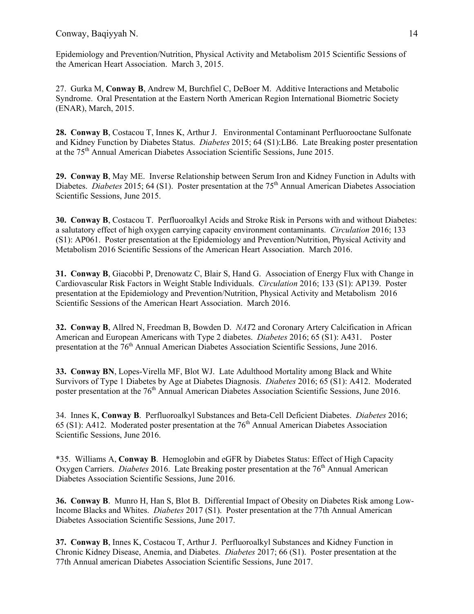Epidemiology and Prevention/Nutrition, Physical Activity and Metabolism 2015 Scientific Sessions of the American Heart Association. March 3, 2015.

27. Gurka M, **Conway B**, Andrew M, Burchfiel C, DeBoer M. Additive Interactions and Metabolic Syndrome. Oral Presentation at the Eastern North American Region International Biometric Society (ENAR), March, 2015.

**28. Conway B**, Costacou T, Innes K, Arthur J. Environmental Contaminant Perfluorooctane Sulfonate and Kidney Function by Diabetes Status. *Diabetes* 2015; 64 (S1):LB6. Late Breaking poster presentation at the 75<sup>th</sup> Annual American Diabetes Association Scientific Sessions, June 2015.

**29. Conway B**, May ME.Inverse Relationship between Serum Iron and Kidney Function in Adults with Diabetes. *Diabetes* 2015; 64 (S1). Poster presentation at the 75<sup>th</sup> Annual American Diabetes Association Scientific Sessions, June 2015.

**30. Conway B**, Costacou T. Perfluoroalkyl Acids and Stroke Risk in Persons with and without Diabetes: a salutatory effect of high oxygen carrying capacity environment contaminants. *Circulation* 2016; 133 (S1): AP061. Poster presentation at the Epidemiology and Prevention/Nutrition, Physical Activity and Metabolism 2016 Scientific Sessions of the American Heart Association. March 2016.

**31. Conway B**, Giacobbi P, Drenowatz C, Blair S, Hand G. Association of Energy Flux with Change in Cardiovascular Risk Factors in Weight Stable Individuals. *Circulation* 2016; 133 (S1): AP139. Poster presentation at the Epidemiology and Prevention/Nutrition, Physical Activity and Metabolism 2016 Scientific Sessions of the American Heart Association. March 2016.

**32. Conway B**, Allred N, Freedman B, Bowden D. *NAT*2 and Coronary Artery Calcification in African American and European Americans with Type 2 diabetes. *Diabetes* 2016; 65 (S1): A431. Poster presentation at the 76th Annual American Diabetes Association Scientific Sessions, June 2016.

**33. Conway BN**, Lopes-Virella MF, Blot WJ. Late Adulthood Mortality among Black and White Survivors of Type 1 Diabetes by Age at Diabetes Diagnosis. *Diabetes* 2016; 65 (S1): A412. Moderated poster presentation at the 76<sup>th</sup> Annual American Diabetes Association Scientific Sessions, June 2016.

34. Innes K, **Conway B**. Perfluoroalkyl Substances and Beta-Cell Deficient Diabetes. *Diabetes* 2016; 65 (S1): A412. Moderated poster presentation at the  $76<sup>th</sup>$  Annual American Diabetes Association Scientific Sessions, June 2016.

\*35. Williams A, **Conway B**. Hemoglobin and eGFR by Diabetes Status: Effect of High Capacity Oxygen Carriers. *Diabetes* 2016. Late Breaking poster presentation at the 76<sup>th</sup> Annual American Diabetes Association Scientific Sessions, June 2016.

**36. Conway B**. Munro H, Han S, Blot B. Differential Impact of Obesity on Diabetes Risk among Low-Income Blacks and Whites. *Diabetes* 2017 (S1). Poster presentation at the 77th Annual American Diabetes Association Scientific Sessions, June 2017.

**37. Conway B**, Innes K, Costacou T, Arthur J. Perfluoroalkyl Substances and Kidney Function in Chronic Kidney Disease, Anemia, and Diabetes. *Diabetes* 2017; 66 (S1). Poster presentation at the 77th Annual american Diabetes Association Scientific Sessions, June 2017.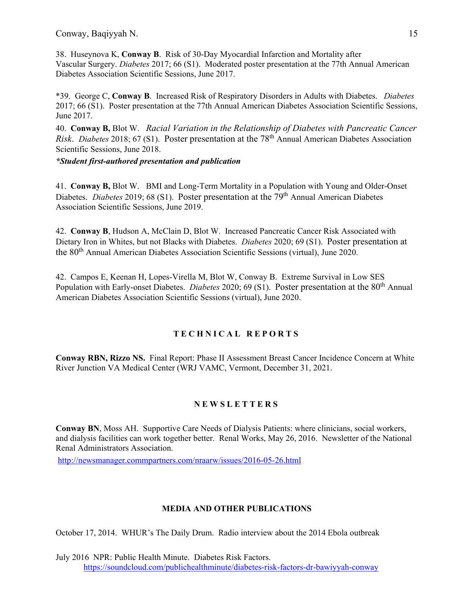38. Huseynova K, **Conway B**. Risk of 30-Day Myocardial Infarction and Mortality after Vascular Surgery. *Diabetes* 2017; 66 (S1). Moderated poster presentation at the 77th Annual American Diabetes Association Scientific Sessions, June 2017.

\*39. George C, **Conway B**. Increased Risk of Respiratory Disorders in Adults with Diabetes. *Diabetes* 2017; 66 (S1). Poster presentation at the 77th Annual American Diabetes Association Scientific Sessions, June 2017.

40. **Conway B,** Blot W. *Racial Variation in the Relationship of Diabetes with Pancreatic Cancer Risk*. *Diabetes* 2018; 67 (S1). Poster presentation at the 78th Annual American Diabetes Association Scientific Sessions, June 2018.

*\*Student first-authored presentation and publication*

41. **Conway B,** Blot W. BMI and Long-Term Mortality in a Population with Young and Older-Onset Diabetes. *Diabetes* 2019; 68 (S1). Poster presentation at the 79<sup>th</sup> Annual American Diabetes Association Scientific Sessions, June 2019.

42. **Conway B**, Hudson A, McClain D, Blot W. Increased Pancreatic Cancer Risk Associated with Dietary Iron in Whites, but not Blacks with Diabetes. *Diabetes* 2020; 69 (S1). Poster presentation at the 80<sup>th</sup> Annual American Diabetes Association Scientific Sessions (virtual), June 2020.

42. Campos E, Keenan H, Lopes-Virella M, Blot W, Conway B. Extreme Survival in Low SES Population with Early-onset Diabetes. *Diabetes* 2020; 69 (S1). Poster presentation at the 80<sup>th</sup> Annual American Diabetes Association Scientific Sessions (virtual), June 2020.

### **TECHNICAL REPORTS**

**Conway RBN, Rizzo NS.** Final Report: Phase II Assessment Breast Cancer Incidence Concern at White River Junction VA Medical Center (WRJ VAMC, Vermont, December 31, 2021.

### **NEWS LETTERS**

**Conway BN**, Moss AH. Supportive Care Needs of Dialysis Patients: where clinicians, social workers, and dialysis facilities can work together better. Renal Works, May 26, 2016. Newsletter of the National Renal Administrators Association.

<http://newsmanager.commpartners.com/nraarw/issues/2016-05-26.html>

### **MEDIA AND OTHER PUBLICATIONS**

October 17, 2014. WHUR's The Daily Drum. Radio interview about the 2014 Ebola outbreak

July 2016 NPR: Public Health Minute. Diabetes Risk Factors. <https://soundcloud.com/publichealthminute/diabetes-risk-factors-dr-bawiyyah-conway>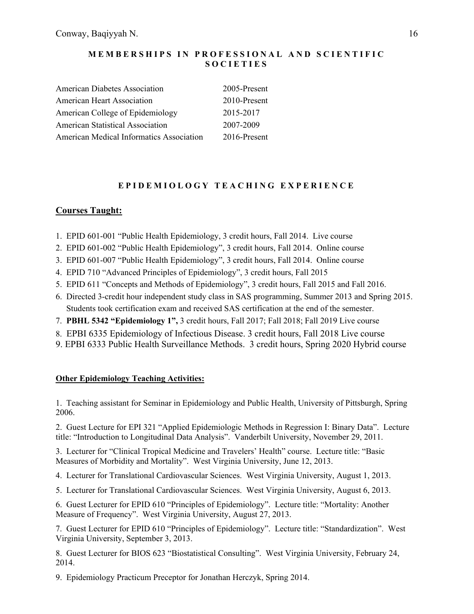### **MEMBERSHIPS IN PROFESSIONAL AND SCIENTIFIC SOCIETIES**

| <b>American Diabetes Association</b>            | 2005-Present |
|-------------------------------------------------|--------------|
| <b>American Heart Association</b>               | 2010-Present |
| American College of Epidemiology                | 2015-2017    |
| <b>American Statistical Association</b>         | 2007-2009    |
| <b>American Medical Informatics Association</b> | 2016-Present |

# **E PIDEMIOLOGY TEACHING EXPERIENCE**

# **Courses Taught:**

- 1. EPID 601-001 "Public Health Epidemiology, 3 credit hours, Fall 2014. Live course
- 2. EPID 601-002 "Public Health Epidemiology", 3 credit hours, Fall 2014. Online course
- 3. EPID 601-007 "Public Health Epidemiology", 3 credit hours, Fall 2014. Online course
- 4. EPID 710 "Advanced Principles of Epidemiology", 3 credit hours, Fall 2015
- 5. EPID 611 "Concepts and Methods of Epidemiology", 3 credit hours, Fall 2015 and Fall 2016.
- 6. Directed 3-credit hour independent study class in SAS programming, Summer 2013 and Spring 2015. Students took certification exam and received SAS certification at the end of the semester.
- 7. **PBHL 5342 "Epidemiology 1",** 3 credit hours, Fall 2017; Fall 2018; Fall 2019 Live course
- 8. EPBI 6335 Epidemiology of Infectious Disease. 3 credit hours, Fall 2018 Live course
- 9. EPBI 6333 Public Health Surveillance Methods. 3 credit hours, Spring 2020 Hybrid course

### **Other Epidemiology Teaching Activities:**

1. Teaching assistant for Seminar in Epidemiology and Public Health, University of Pittsburgh, Spring 2006.

2. Guest Lecture for EPI 321 "Applied Epidemiologic Methods in Regression I: Binary Data". Lecture title: "Introduction to Longitudinal Data Analysis". Vanderbilt University, November 29, 2011.

3. Lecturer for "Clinical Tropical Medicine and Travelers' Health" course. Lecture title: "Basic Measures of Morbidity and Mortality". West Virginia University, June 12, 2013.

4. Lecturer for Translational Cardiovascular Sciences. West Virginia University, August 1, 2013.

5. Lecturer for Translational Cardiovascular Sciences. West Virginia University, August 6, 2013.

6. Guest Lecturer for EPID 610 "Principles of Epidemiology". Lecture title: "Mortality: Another Measure of Frequency". West Virginia University, August 27, 2013.

7. Guest Lecturer for EPID 610 "Principles of Epidemiology". Lecture title: "Standardization". West Virginia University, September 3, 2013.

8. Guest Lecturer for BIOS 623 "Biostatistical Consulting". West Virginia University, February 24, 2014.

9. Epidemiology Practicum Preceptor for Jonathan Herczyk, Spring 2014.